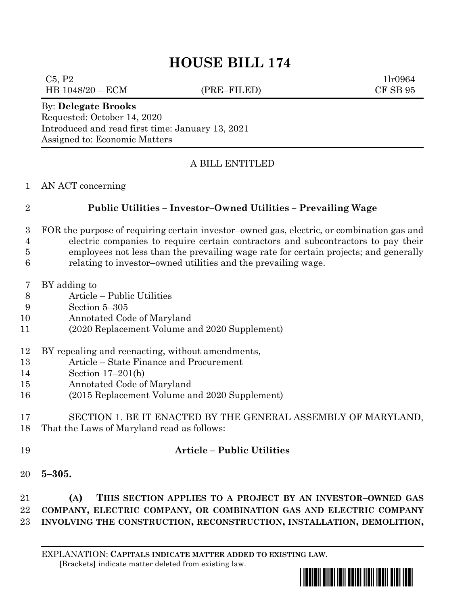# **HOUSE BILL 174**

 $C5, P2$  1lr0964 HB 1048/20 – ECM (PRE–FILED) CF SB 95

#### By: **Delegate Brooks**

Requested: October 14, 2020 Introduced and read first time: January 13, 2021 Assigned to: Economic Matters

### A BILL ENTITLED

AN ACT concerning

## **Public Utilities – Investor–Owned Utilities – Prevailing Wage**

- FOR the purpose of requiring certain investor–owned gas, electric, or combination gas and electric companies to require certain contractors and subcontractors to pay their employees not less than the prevailing wage rate for certain projects; and generally
- relating to investor–owned utilities and the prevailing wage.
- BY adding to
- Article Public Utilities
- Section 5–305
- Annotated Code of Maryland
- (2020 Replacement Volume and 2020 Supplement)

## BY repealing and reenacting, without amendments,

- Article State Finance and Procurement
- Section 17–201(h)
- Annotated Code of Maryland
- (2015 Replacement Volume and 2020 Supplement)

#### SECTION 1. BE IT ENACTED BY THE GENERAL ASSEMBLY OF MARYLAND, That the Laws of Maryland read as follows:

## **Article – Public Utilities**

**5–305.**

 **(A) THIS SECTION APPLIES TO A PROJECT BY AN INVESTOR–OWNED GAS COMPANY, ELECTRIC COMPANY, OR COMBINATION GAS AND ELECTRIC COMPANY INVOLVING THE CONSTRUCTION, RECONSTRUCTION, INSTALLATION, DEMOLITION,**